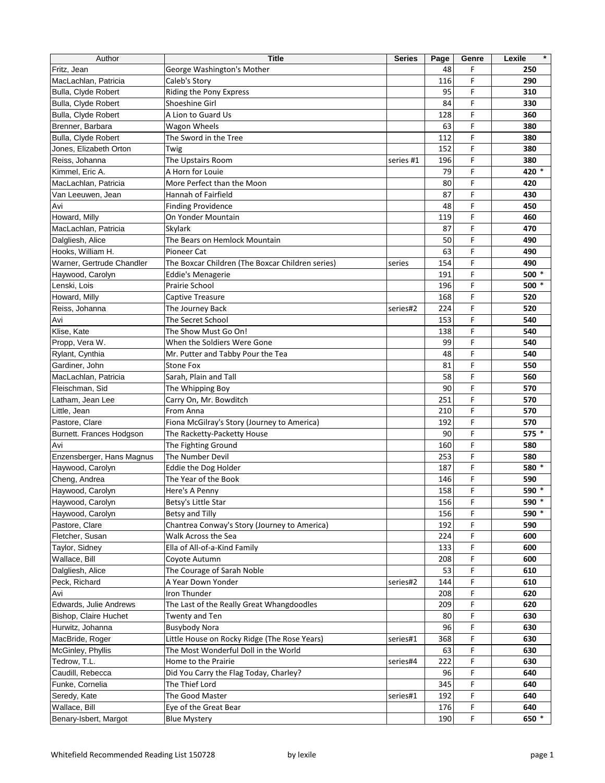| Author                    | <b>Title</b>                                     | <b>Series</b> | Page | Genre | $\star$<br>Lexile |
|---------------------------|--------------------------------------------------|---------------|------|-------|-------------------|
| Fritz, Jean               | George Washington's Mother                       |               | 48   | F     | 250               |
| MacLachlan, Patricia      | Caleb's Story                                    |               | 116  | F     | 290               |
| Bulla, Clyde Robert       | Riding the Pony Express                          |               | 95   | F     | 310               |
| Bulla, Clyde Robert       | Shoeshine Girl                                   |               | 84   | F     | 330               |
| Bulla, Clyde Robert       | A Lion to Guard Us                               |               | 128  | F     | 360               |
| Brenner, Barbara          | Wagon Wheels                                     |               | 63   | F     | 380               |
| Bulla, Clyde Robert       | The Sword in the Tree                            |               | 112  | F     | 380               |
| Jones, Elizabeth Orton    | Twig                                             |               | 152  | F     | 380               |
| Reiss, Johanna            | The Upstairs Room                                | series #1     | 196  | F     | 380               |
| Kimmel, Eric A.           | A Horn for Louie                                 |               | 79   | F     | 420 *             |
| MacLachlan, Patricia      | More Perfect than the Moon                       |               | 80   | F     | 420               |
| Van Leeuwen, Jean         | Hannah of Fairfield                              |               | 87   | F     | 430               |
| Avi                       | <b>Finding Providence</b>                        |               | 48   | F     | 450               |
|                           | On Yonder Mountain                               |               | 119  | F     | 460               |
| Howard, Milly             |                                                  |               |      | F     |                   |
| MacLachlan, Patricia      | Skylark                                          |               | 87   |       | 470               |
| Dalgliesh, Alice          | The Bears on Hemlock Mountain                    |               | 50   | F     | 490               |
| Hooks, William H.         | Pioneer Cat                                      |               | 63   | F     | 490               |
| Warner, Gertrude Chandler | The Boxcar Children (The Boxcar Children series) | series        | 154  | F     | 490               |
| Haywood, Carolyn          | <b>Eddie's Menagerie</b>                         |               | 191  | F     | 500 *             |
| Lenski, Lois              | Prairie School                                   |               | 196  | F     | $500*$            |
| Howard, Milly             | <b>Captive Treasure</b>                          |               | 168  | F     | 520               |
| Reiss, Johanna            | The Journey Back                                 | series#2      | 224  | F     | 520               |
| Avi                       | The Secret School                                |               | 153  | F     | 540               |
| Klise, Kate               | The Show Must Go On!                             |               | 138  | F     | 540               |
| Propp, Vera W.            | When the Soldiers Were Gone                      |               | 99   | F     | 540               |
| Rylant, Cynthia           | Mr. Putter and Tabby Pour the Tea                |               | 48   | F     | 540               |
| Gardiner, John            | <b>Stone Fox</b>                                 |               | 81   | F     | 550               |
| MacLachlan, Patricia      | Sarah, Plain and Tall                            |               | 58   | F     | 560               |
| Fleischman, Sid           | The Whipping Boy                                 |               | 90   | F     | 570               |
| Latham, Jean Lee          | Carry On, Mr. Bowditch                           |               | 251  | F     | 570               |
| Little, Jean              | From Anna                                        |               | 210  | F     | 570               |
| Pastore, Clare            | Fiona McGilray's Story (Journey to America)      |               | 192  | F     | 570               |
| Burnett. Frances Hodgson  | The Racketty-Packetty House                      |               | 90   | F     | $575$ *           |
| Avi                       | The Fighting Ground                              |               | 160  | F     | 580               |
| Enzensberger, Hans Magnus | The Number Devil                                 |               | 253  | F     | 580               |
| Haywood, Carolyn          | Eddie the Dog Holder                             |               | 187  | F     | 580 *             |
| Cheng, Andrea             | The Year of the Book                             |               | 146  | F     | 590               |
| Haywood, Carolyn          | Here's A Penny                                   |               | 158  | F     | 590 *             |
| Haywood, Carolyn          | Betsy's Little Star                              |               | 156  | F     | 590 *             |
| Haywood, Carolyn          | Betsy and Tilly                                  |               | 156  | F     | 590 *             |
| Pastore, Clare            | Chantrea Conway's Story (Journey to America)     |               | 192  | F     | 590               |
| Fletcher, Susan           | Walk Across the Sea                              |               | 224  | F     | 600               |
| Taylor, Sidney            | Ella of All-of-a-Kind Family                     |               | 133  | F     | 600               |
| Wallace, Bill             | Coyote Autumn                                    |               | 208  | F     | 600               |
| Dalgliesh, Alice          | The Courage of Sarah Noble                       |               | 53   | F     | 610               |
| Peck, Richard             | A Year Down Yonder                               | series#2      | 144  | F     | 610               |
|                           | <b>Iron Thunder</b>                              |               |      | F     |                   |
| Avi                       |                                                  |               | 208  |       | 620               |
| Edwards, Julie Andrews    | The Last of the Really Great Whangdoodles        |               | 209  | F     | 620               |
| Bishop, Claire Huchet     | Twenty and Ten                                   |               | 80   | F     | 630               |
| Hurwitz, Johanna          | <b>Busybody Nora</b>                             |               | 96   | F     | 630               |
| MacBride, Roger           | Little House on Rocky Ridge (The Rose Years)     | series#1      | 368  | F     | 630               |
| McGinley, Phyllis         | The Most Wonderful Doll in the World             |               | 63   | F     | 630               |
| Tedrow, T.L.              | Home to the Prairie                              | series#4      | 222  | F     | 630               |
| Caudill, Rebecca          | Did You Carry the Flag Today, Charley?           |               | 96   | F     | 640               |
| Funke, Cornelia           | The Thief Lord                                   |               | 345  | F     | 640               |
| Seredy, Kate              | The Good Master                                  | series#1      | 192  | F     | 640               |
| Wallace, Bill             | Eye of the Great Bear                            |               | 176  | F     | 640               |
| Benary-Isbert, Margot     | <b>Blue Mystery</b>                              |               | 190  | F     | 650 *             |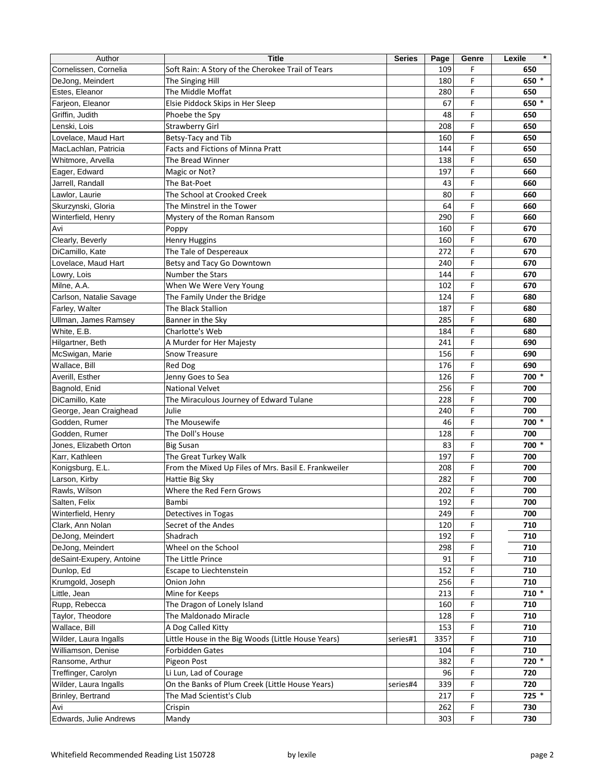| Author                   | <b>Title</b>                                         | <b>Series</b> | Page | Genre | $\star$<br>Lexile |
|--------------------------|------------------------------------------------------|---------------|------|-------|-------------------|
| Cornelissen, Cornelia    | Soft Rain: A Story of the Cherokee Trail of Tears    |               | 109  | F     | 650               |
| DeJong, Meindert         | The Singing Hill                                     |               | 180  | F     | 650 *             |
| Estes, Eleanor           | The Middle Moffat                                    |               | 280  | F     | 650               |
| Farjeon, Eleanor         | Elsie Piddock Skips in Her Sleep                     |               | 67   | F     | 650 *             |
| Griffin, Judith          | Phoebe the Spy                                       |               | 48   | F     | 650               |
| Lenski, Lois             | <b>Strawberry Girl</b>                               |               | 208  | F     | 650               |
| Lovelace, Maud Hart      | Betsy-Tacy and Tib                                   |               | 160  | F     | 650               |
| MacLachlan, Patricia     | <b>Facts and Fictions of Minna Pratt</b>             |               | 144  | F     | 650               |
| Whitmore, Arvella        | The Bread Winner                                     |               | 138  | F     | 650               |
| Eager, Edward            | Magic or Not?                                        |               | 197  | F     | 660               |
| Jarrell, Randall         | The Bat-Poet                                         |               | 43   | F.    | 660               |
| Lawlor, Laurie           | The School at Crooked Creek                          |               | 80   | F     | 660               |
| Skurzynski, Gloria       | The Minstrel in the Tower                            |               | 64   | F     | 660               |
| Winterfield, Henry       | Mystery of the Roman Ransom                          |               | 290  | F     | 660               |
| Avi                      | Poppy                                                |               | 160  | F     | 670               |
| Clearly, Beverly         | Henry Huggins                                        |               | 160  | F     | 670               |
| DiCamillo, Kate          | The Tale of Despereaux                               |               | 272  | F     | 670               |
| Lovelace, Maud Hart      | Betsy and Tacy Go Downtown                           |               | 240  | F     | 670               |
| Lowry, Lois              | Number the Stars                                     |               | 144  | F     | 670               |
| Milne, A.A.              | When We Were Very Young                              |               | 102  | F     | 670               |
| Carlson, Natalie Savage  |                                                      |               | 124  | F     | 680               |
| Farley, Walter           | The Family Under the Bridge<br>The Black Stallion    |               | 187  | F     | 680               |
| Ullman, James Ramsey     |                                                      |               | 285  | F     | 680               |
| White, E.B.              | Banner in the Sky<br>Charlotte's Web                 |               | 184  | F     | 680               |
| Hilgartner, Beth         | A Murder for Her Majesty                             |               | 241  | F     | 690               |
| McSwigan, Marie          | <b>Snow Treasure</b>                                 |               | 156  | F     | 690               |
| Wallace, Bill            | <b>Red Dog</b>                                       |               | 176  | F     | 690               |
| Averill, Esther          | Jenny Goes to Sea                                    |               | 126  | F     | 700 *             |
| Bagnold, Enid            | <b>National Velvet</b>                               |               | 256  | F     | 700               |
| DiCamillo, Kate          | The Miraculous Journey of Edward Tulane              |               | 228  | F     | 700               |
| George, Jean Craighead   | Julie                                                |               | 240  | F     | 700               |
| Godden, Rumer            | The Mousewife                                        |               | 46   | F     | 700 *             |
| Godden, Rumer            | The Doll's House                                     |               | 128  | F     | 700               |
| Jones. Elizabeth Orton   | <b>Big Susan</b>                                     |               | 83   | F     | 700 *             |
| Karr, Kathleen           | The Great Turkey Walk                                |               | 197  | F     | 700               |
| Konigsburg, E.L.         | From the Mixed Up Files of Mrs. Basil E. Frankweiler |               | 208  | F     | 700               |
| Larson, Kirby            | Hattie Big Sky                                       |               | 282  | F     | 700               |
| Rawls, Wilson            | Where the Red Fern Grows                             |               | 202  | F     | 700               |
| Salten, Felix            | Bambi                                                |               | 192  | F     | 700               |
| Winterfield, Henry       | Detectives in Togas                                  |               | 249  | F     | 700               |
| Clark, Ann Nolan         | Secret of the Andes                                  |               | 120  | F     | 710               |
| DeJong, Meindert         | Shadrach                                             |               | 192  | F     | 710               |
| DeJong, Meindert         | Wheel on the School                                  |               | 298  | F     | 710               |
| deSaint-Exupery, Antoine | The Little Prince                                    |               | 91   | F     | 710               |
| Dunlop, Ed               | Escape to Liechtenstein                              |               | 152  | F     | 710               |
| Krumgold, Joseph         | Onion John                                           |               | 256  | F     | 710               |
| Little, Jean             | Mine for Keeps                                       |               | 213  | F     | $710*$            |
| Rupp, Rebecca            | The Dragon of Lonely Island                          |               | 160  | F     | 710               |
| Taylor, Theodore         | The Maldonado Miracle                                |               | 128  | F     | 710               |
| Wallace, Bill            | A Dog Called Kitty                                   |               | 153  | F     | 710               |
| Wilder, Laura Ingalls    | Little House in the Big Woods (Little House Years)   | series#1      | 335? | F     | 710               |
| Williamson, Denise       | Forbidden Gates                                      |               | 104  | F     | 710               |
| Ransome, Arthur          | Pigeon Post                                          |               | 382  | F     | 720 *             |
| Treffinger, Carolyn      | Li Lun, Lad of Courage                               |               | 96   | F     | 720               |
| Wilder, Laura Ingalls    | On the Banks of Plum Creek (Little House Years)      | series#4      | 339  | F     | 720               |
| Brinley, Bertrand        | The Mad Scientist's Club                             |               | 217  | F     | $725 *$           |
| Avi                      | Crispin                                              |               | 262  | F     | 730               |
| Edwards, Julie Andrews   | Mandy                                                |               | 303  | F     | 730               |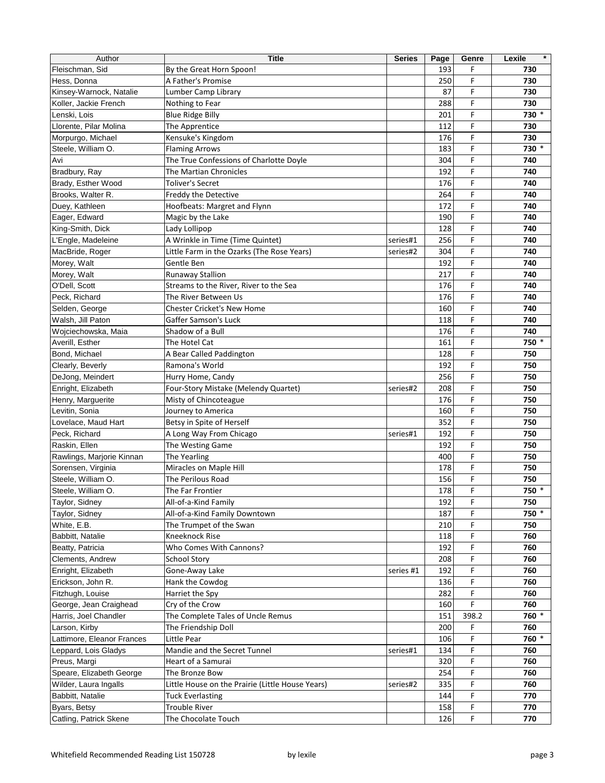| Author                     | <b>Title</b>                                     | <b>Series</b> | Page | Genre | $\star$<br>Lexile |
|----------------------------|--------------------------------------------------|---------------|------|-------|-------------------|
| Fleischman, Sid            | By the Great Horn Spoon!                         |               | 193  | F     | 730               |
| Hess, Donna                | A Father's Promise                               |               | 250  | F     | 730               |
| Kinsey-Warnock, Natalie    | Lumber Camp Library                              |               | 87   | F     | 730               |
| Koller, Jackie French      | Nothing to Fear                                  |               | 288  | F     | 730               |
| Lenski, Lois               | <b>Blue Ridge Billy</b>                          |               | 201  | F     | 730 *             |
| Llorente, Pilar Molina     | The Apprentice                                   |               | 112  | F     | 730               |
| Morpurgo, Michael          | Kensuke's Kingdom                                |               | 176  | F     | 730               |
| Steele, William O.         | <b>Flaming Arrows</b>                            |               | 183  | F     | 730 *             |
| Avi                        | The True Confessions of Charlotte Doyle          |               | 304  | F     | 740               |
| Bradbury, Ray              | <b>The Martian Chronicles</b>                    |               | 192  | F     | 740               |
| Brady, Esther Wood         | <b>Toliver's Secret</b>                          |               | 176  | F     | 740               |
| Brooks, Walter R.          | Freddy the Detective                             |               | 264  | F     | 740               |
| Duey, Kathleen             | Hoofbeats: Margret and Flynn                     |               | 172  | F.    | 740               |
| Eager, Edward              | Magic by the Lake                                |               | 190  | F     | 740               |
| King-Smith, Dick           | Lady Lollipop                                    |               | 128  | F     | 740               |
| L'Engle, Madeleine         | A Wrinkle in Time (Time Quintet)                 | series#1      | 256  | F     | 740               |
|                            | Little Farm in the Ozarks (The Rose Years)       |               |      | F     |                   |
| MacBride, Roger            |                                                  | series#2      | 304  |       | 740               |
| Morey, Walt                | Gentle Ben                                       |               | 192  | F     | 740               |
| Morey, Walt                | <b>Runaway Stallion</b>                          |               | 217  | F     | 740               |
| O'Dell, Scott              | Streams to the River, River to the Sea           |               | 176  | F     | 740               |
| Peck, Richard              | The River Between Us                             |               | 176  | F     | 740               |
| Selden, George             | <b>Chester Cricket's New Home</b>                |               | 160  | F     | 740               |
| Walsh, Jill Paton          | Gaffer Samson's Luck                             |               | 118  | F     | 740               |
| Wojciechowska, Maia        | Shadow of a Bull                                 |               | 176  | F     | 740               |
| Averill, Esther            | The Hotel Cat                                    |               | 161  | F     | 750 *             |
| Bond, Michael              | A Bear Called Paddington                         |               | 128  | F     | 750               |
| Clearly, Beverly           | Ramona's World                                   |               | 192  | F     | 750               |
| DeJong, Meindert           | Hurry Home, Candy                                |               | 256  | F     | 750               |
| Enright, Elizabeth         | Four-Story Mistake (Melendy Quartet)             | series#2      | 208  | F     | 750               |
| Henry, Marguerite          | Misty of Chincoteague                            |               | 176  | F     | 750               |
| Levitin, Sonia             | Journey to America                               |               | 160  | F     | 750               |
| Lovelace, Maud Hart        | Betsy in Spite of Herself                        |               | 352  | F     | 750               |
| Peck, Richard              | A Long Way From Chicago                          | series#1      | 192  | F     | 750               |
| Raskin, Ellen              | The Westing Game                                 |               | 192  | F     | 750               |
| Rawlings, Marjorie Kinnan  | The Yearling                                     |               | 400  | F     | 750               |
| Sorensen, Virginia         | Miracles on Maple Hill                           |               | 178  | F     | 750               |
| Steele, William O.         | The Perilous Road                                |               | 156  | F     | 750               |
| Steele, William O.         | The Far Frontier                                 |               | 178  | F     | 750 *             |
| Taylor, Sidney             | All-of-a-Kind Family                             |               | 192  | F     | 750               |
| Taylor, Sidney             | All-of-a-Kind Family Downtown                    |               | 187  | F     | 750 *             |
| White, E.B.                | The Trumpet of the Swan                          |               | 210  | F     | 750               |
| Babbitt, Natalie           | Kneeknock Rise                                   |               | 118  | F     | 760               |
| Beatty, Patricia           | Who Comes With Cannons?                          |               | 192  | F     | 760               |
| Clements, Andrew           | <b>School Story</b>                              |               | 208  | F     | 760               |
| Enright, Elizabeth         | Gone-Away Lake                                   | series #1     | 192  | F     | 760               |
| Erickson, John R.          | Hank the Cowdog                                  |               | 136  | F     | 760               |
| Fitzhugh, Louise           | Harriet the Spy                                  |               | 282  | F     | 760               |
| George, Jean Craighead     | Cry of the Crow                                  |               | 160  | F     | 760               |
| Harris, Joel Chandler      | The Complete Tales of Uncle Remus                |               | 151  | 398.2 | 760 *             |
| Larson, Kirby              | The Friendship Doll                              |               | 200  | F     | 760               |
| Lattimore, Eleanor Frances | Little Pear                                      |               | 106  | F     | 760 *             |
| Leppard, Lois Gladys       | Mandie and the Secret Tunnel                     | series#1      | 134  | F     | 760               |
| Preus, Margi               | Heart of a Samurai                               |               | 320  | F     | 760               |
| Speare, Elizabeth George   | The Bronze Bow                                   |               | 254  | F     | 760               |
| Wilder, Laura Ingalls      | Little House on the Prairie (Little House Years) | series#2      | 335  | F     | 760               |
| Babbitt, Natalie           | <b>Tuck Everlasting</b>                          |               | 144  | F     | 770               |
| Byars, Betsy               | <b>Trouble River</b>                             |               | 158  | F     | 770               |
| Catling, Patrick Skene     | The Chocolate Touch                              |               | 126  | F     | 770               |
|                            |                                                  |               |      |       |                   |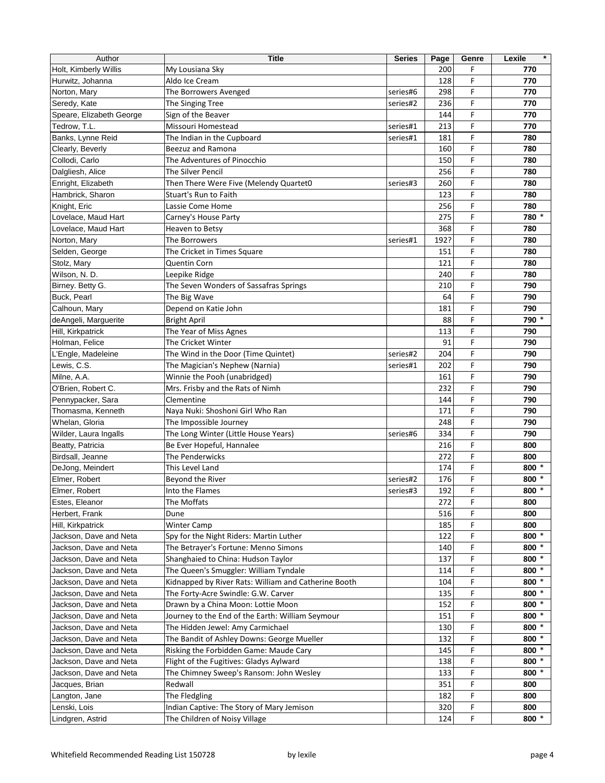| Author                                           | <b>Title</b>                                         | <b>Series</b> | Page       | Genre | $\star$<br>Lexile |
|--------------------------------------------------|------------------------------------------------------|---------------|------------|-------|-------------------|
| Holt, Kimberly Willis                            | My Lousiana Sky                                      |               | 200        | F     | 770               |
| Hurwitz, Johanna                                 | Aldo Ice Cream                                       |               | 128        | F     | 770               |
| Norton, Mary                                     | The Borrowers Avenged                                | series#6      | 298        | F     | 770               |
| Seredy, Kate                                     | The Singing Tree                                     | series#2      | 236        | F     | 770               |
| Speare, Elizabeth George                         | Sign of the Beaver                                   |               | 144        | F     | 770               |
| Tedrow, T.L.                                     | Missouri Homestead                                   | series#1      | 213        | F     | 770               |
| Banks, Lynne Reid                                | The Indian in the Cupboard                           | series#1      | 181        | F     | 780               |
| Clearly, Beverly                                 | Beezuz and Ramona                                    |               | 160        | F     | 780               |
| Collodi, Carlo                                   | The Adventures of Pinocchio                          |               | 150        | F     | 780               |
| Dalgliesh, Alice                                 | The Silver Pencil                                    |               | 256        | F     | 780               |
| Enright, Elizabeth                               | Then There Were Five (Melendy Quartet0               | series#3      | 260        | F     | 780               |
| Hambrick, Sharon                                 | Stuart's Run to Faith                                |               | 123        | F     | 780               |
|                                                  | Lassie Come Home                                     |               | 256        | F.    | 780               |
| Knight, Eric                                     |                                                      |               | 275        | F     | 780 *             |
| Lovelace, Maud Hart                              | Carney's House Party                                 |               |            |       |                   |
| Lovelace, Maud Hart                              | Heaven to Betsy                                      |               | 368        | F     | 780               |
| Norton, Mary                                     | The Borrowers                                        | series#1      | 192?       | F     | 780               |
| Selden, George                                   | The Cricket in Times Square                          |               | 151        | F     | 780               |
| Stolz, Mary                                      | Quentin Corn                                         |               | 121        | F     | 780               |
| Wilson, N. D.                                    | Leepike Ridge                                        |               | 240        | F     | 780               |
| Birney. Betty G.                                 | The Seven Wonders of Sassafras Springs               |               | 210        | F     | 790               |
| Buck, Pearl                                      | The Big Wave                                         |               | 64         | F     | 790               |
| Calhoun, Mary                                    | Depend on Katie John                                 |               | 181        | F     | 790               |
| deAngeli, Marguerite                             | <b>Bright April</b>                                  |               | 88         | F     | 790 *             |
| Hill, Kirkpatrick                                | The Year of Miss Agnes                               |               | 113        | F     | 790               |
| Holman, Felice                                   | The Cricket Winter                                   |               | 91         | F     | 790               |
| L'Engle, Madeleine                               | The Wind in the Door (Time Quintet)                  | series#2      | 204        | F     | 790               |
| Lewis, C.S.                                      | The Magician's Nephew (Narnia)                       | series#1      | 202        | F     | 790               |
| Milne, A.A.                                      | Winnie the Pooh (unabridged)                         |               | 161        | F     | 790               |
| O'Brien, Robert C.                               | Mrs. Frisby and the Rats of Nimh                     |               | 232        | F     | 790               |
| Pennypacker, Sara                                | Clementine                                           |               | 144        | F     | 790               |
| Thomasma, Kenneth                                | Naya Nuki: Shoshoni Girl Who Ran                     |               | 171        | F     | 790               |
| Whelan, Gloria                                   | The Impossible Journey                               |               | 248        | F     | 790               |
| Wilder, Laura Ingalls                            | The Long Winter (Little House Years)                 | series#6      | 334        | F     | 790               |
| Beatty, Patricia                                 | Be Ever Hopeful, Hannalee                            |               | 216        | F     | 800               |
| Birdsall, Jeanne                                 | The Penderwicks                                      |               | 272        | F     | 800               |
| DeJong, Meindert                                 | This Level Land                                      |               | 174        | F     | 800 *             |
| Elmer, Robert                                    | Beyond the River                                     | series#2      | 176        | F     | 800 *             |
| Elmer, Robert                                    | Into the Flames                                      | series#3      | 192        | F     | 800 *             |
| Estes, Eleanor                                   | The Moffats                                          |               | 272        | F     | 800               |
| Herbert, Frank                                   | Dune                                                 |               | 516        | F     | 800               |
| Hill, Kirkpatrick                                | <b>Winter Camp</b>                                   |               | 185        | F     | 800               |
| Jackson, Dave and Neta                           | Spy for the Night Riders: Martin Luther              |               | 122        | F     | 800 *             |
| Jackson, Dave and Neta                           | The Betrayer's Fortune: Menno Simons                 |               | 140        | F     | 800 *             |
| Jackson, Dave and Neta                           | Shanghaied to China: Hudson Taylor                   |               | 137        | F     | 800 *             |
|                                                  |                                                      |               |            | F     | 800 *             |
| Jackson, Dave and Neta<br>Jackson, Dave and Neta | The Queen's Smuggler: William Tyndale                |               | 114<br>104 | F     | $800 *$           |
|                                                  | Kidnapped by River Rats: William and Catherine Booth |               |            |       |                   |
| Jackson, Dave and Neta                           | The Forty-Acre Swindle: G.W. Carver                  |               | 135        | F     | $800 *$           |
| Jackson, Dave and Neta                           | Drawn by a China Moon: Lottie Moon                   |               | 152        | F     | $800 *$           |
| Jackson, Dave and Neta                           | Journey to the End of the Earth: William Seymour     |               | 151        | F     | $800 *$           |
| Jackson, Dave and Neta                           | The Hidden Jewel: Amy Carmichael                     |               | 130        | F     | $800 *$           |
| Jackson, Dave and Neta                           | The Bandit of Ashley Downs: George Mueller           |               | 132        | F     | 800 *             |
| Jackson, Dave and Neta                           | Risking the Forbidden Game: Maude Cary               |               | 145        | F     | 800 *             |
| Jackson, Dave and Neta                           | Flight of the Fugitives: Gladys Aylward              |               | 138        | F     | 800 *             |
| Jackson, Dave and Neta                           | The Chimney Sweep's Ransom: John Wesley              |               | 133        | F     | 800 *             |
| Jacques, Brian                                   | Redwall                                              |               | 351        | F     | 800               |
| Langton, Jane                                    | The Fledgling                                        |               | 182        | F     | 800               |
| Lenski, Lois                                     | Indian Captive: The Story of Mary Jemison            |               | 320        | F     | 800               |
| Lindgren, Astrid                                 | The Children of Noisy Village                        |               | 124        | F     | 800 *             |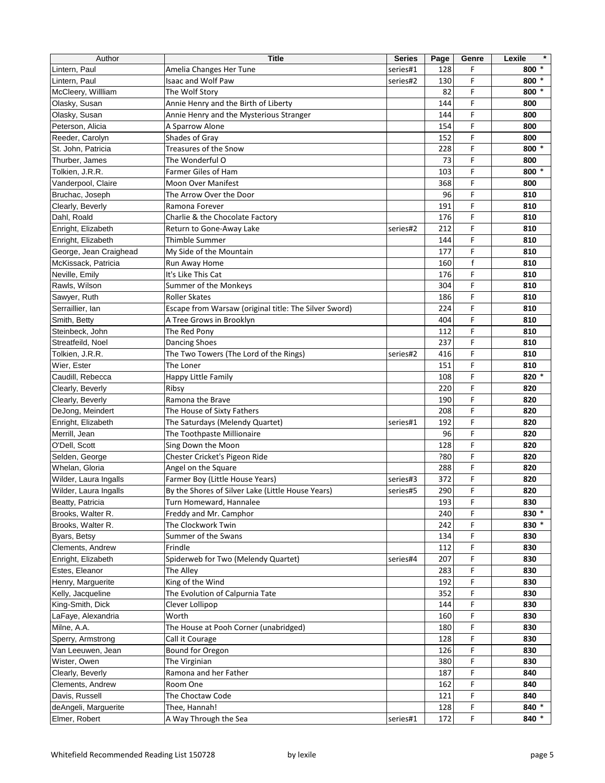| Author                 | <b>Title</b>                                          | <b>Series</b> | Page | Genre        | $\star$<br>Lexile |
|------------------------|-------------------------------------------------------|---------------|------|--------------|-------------------|
| Lintern, Paul          | Amelia Changes Her Tune                               | series#1      | 128  | F            | $800*$            |
| Lintern, Paul          | Isaac and Wolf Paw                                    | series#2      | 130  | F            | 800 *             |
| McCleery, Willliam     | The Wolf Story                                        |               | 82   | F            | $800 *$           |
| Olasky, Susan          | Annie Henry and the Birth of Liberty                  |               | 144  | F            | 800               |
| Olasky, Susan          | Annie Henry and the Mysterious Stranger               |               | 144  | F            | 800               |
| Peterson, Alicia       | A Sparrow Alone                                       |               | 154  | F            | 800               |
| Reeder, Carolyn        | Shades of Gray                                        |               | 152  | F            | 800               |
| St. John, Patricia     | Treasures of the Snow                                 |               | 228  | F            | 800 *             |
| Thurber, James         | The Wonderful O                                       |               | 73   | F            | 800               |
| Tolkien, J.R.R.        | <b>Farmer Giles of Ham</b>                            |               | 103  | F            | 800 *             |
| Vanderpool, Claire     | <b>Moon Over Manifest</b>                             |               | 368  | F            | 800               |
| Bruchac, Joseph        | The Arrow Over the Door                               |               | 96   | F            | 810               |
| Clearly, Beverly       | Ramona Forever                                        |               | 191  | F            | 810               |
| Dahl, Roald            | Charlie & the Chocolate Factory                       |               | 176  | F            | 810               |
| Enright, Elizabeth     | Return to Gone-Away Lake                              | series#2      | 212  | F            | 810               |
| Enright, Elizabeth     | <b>Thimble Summer</b>                                 |               | 144  | F            | 810               |
| George, Jean Craighead | My Side of the Mountain                               |               | 177  | F            | 810               |
| McKissack, Patricia    | Run Away Home                                         |               | 160  | $\mathsf{f}$ | 810               |
| Neville, Emily         | It's Like This Cat                                    |               | 176  | F            | 810               |
| Rawls, Wilson          | Summer of the Monkeys                                 |               | 304  | F            | 810               |
| Sawyer, Ruth           | <b>Roller Skates</b>                                  |               | 186  | F            | 810               |
| Serraillier, lan       | Escape from Warsaw (original title: The Silver Sword) |               | 224  | F            | 810               |
| Smith, Betty           | A Tree Grows in Brooklyn                              |               | 404  | F            | 810               |
| Steinbeck, John        | The Red Pony                                          |               | 112  | F            | 810               |
| Streatfeild, Noel      | <b>Dancing Shoes</b>                                  |               | 237  | F            | 810               |
| Tolkien, J.R.R.        | The Two Towers (The Lord of the Rings)                | series#2      | 416  | F            | 810               |
| Wier, Ester            | The Loner                                             |               | 151  | F            | 810               |
| Caudill, Rebecca       | Happy Little Family                                   |               | 108  | F            | 820 *             |
| Clearly, Beverly       | Ribsy                                                 |               | 220  | F            | 820               |
| Clearly, Beverly       | Ramona the Brave                                      |               | 190  | F            | 820               |
| DeJong, Meindert       | The House of Sixty Fathers                            |               | 208  | F            | 820               |
| Enright, Elizabeth     | The Saturdays (Melendy Quartet)                       | series#1      | 192  | F            | 820               |
| Merrill, Jean          | The Toothpaste Millionaire                            |               | 96   | F            | 820               |
| O'Dell, Scott          | Sing Down the Moon                                    |               | 128  | F            | 820               |
| Selden, George         | Chester Cricket's Pigeon Ride                         |               | ?80  | F            | 820               |
| Whelan, Gloria         | Angel on the Square                                   |               | 288  | F            | 820               |
| Wilder, Laura Ingalls  | Farmer Boy (Little House Years)                       | series#3      | 372  | F            | 820               |
| Wilder, Laura Ingalls  | By the Shores of Silver Lake (Little House Years)     | series#5      | 290  | F            | 820               |
| Beatty, Patricia       | Turn Homeward, Hannalee                               |               | 193  | F            | 830               |
| Brooks, Walter R.      | Freddy and Mr. Camphor                                |               | 240  | F            | 830 *             |
| Brooks, Walter R.      | The Clockwork Twin                                    |               | 242  | F            | 830 *             |
| Byars, Betsy           | Summer of the Swans                                   |               | 134  | F            | 830               |
| Clements, Andrew       | Frindle                                               |               | 112  | F            | 830               |
| Enright, Elizabeth     | Spiderweb for Two (Melendy Quartet)                   | series#4      | 207  | F            | 830               |
| Estes, Eleanor         | The Alley                                             |               | 283  | F            | 830               |
| Henry, Marquerite      | King of the Wind                                      |               | 192  | F            | 830               |
| Kelly, Jacqueline      | The Evolution of Calpurnia Tate                       |               | 352  | F            | 830               |
| King-Smith, Dick       | Clever Lollipop                                       |               | 144  | F            | 830               |
| LaFaye, Alexandria     | Worth                                                 |               | 160  | F            | 830               |
| Milne, A.A.            | The House at Pooh Corner (unabridged)                 |               | 180  | F            | 830               |
| Sperry, Armstrong      | Call it Courage                                       |               | 128  | F            | 830               |
| Van Leeuwen, Jean      | Bound for Oregon                                      |               | 126  | F            | 830               |
| Wister, Owen           | The Virginian                                         |               | 380  | F            | 830               |
| Clearly, Beverly       | Ramona and her Father                                 |               | 187  | F            | 840               |
| Clements, Andrew       | Room One                                              |               | 162  | F            | 840               |
| Davis, Russell         | The Choctaw Code                                      |               | 121  | F            | 840               |
| deAngeli, Marguerite   | Thee, Hannah!                                         |               | 128  | F            | 840 *             |
| Elmer, Robert          | A Way Through the Sea                                 | series#1      | 172  | F            | 840 *             |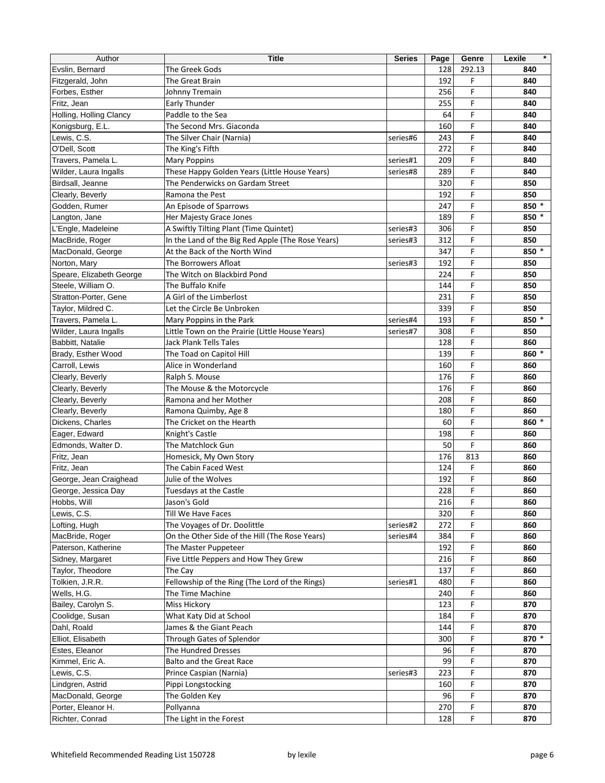| Author                               | Title                                             | <b>Series</b> | Page | Genre  | $\star$<br>Lexile |
|--------------------------------------|---------------------------------------------------|---------------|------|--------|-------------------|
| Evslin, Bernard                      | The Greek Gods                                    |               | 128  | 292.13 | 840               |
| Fitzgerald, John                     | The Great Brain                                   |               | 192  | F      | 840               |
| Forbes, Esther                       | Johnny Tremain                                    |               | 256  | F      | 840               |
| Fritz, Jean                          | Early Thunder                                     |               | 255  | F      | 840               |
| Holling, Holling Clancy              | Paddle to the Sea                                 |               | 64   | F      | 840               |
| Konigsburg, E.L.                     | The Second Mrs. Giaconda                          |               | 160  | F      | 840               |
| Lewis, C.S.                          | The Silver Chair (Narnia)                         | series#6      | 243  | F      | 840               |
| O'Dell, Scott                        | The King's Fifth                                  |               | 272  | F      | 840               |
| Travers, Pamela L.                   | <b>Mary Poppins</b>                               | series#1      | 209  | F      | 840               |
| Wilder, Laura Ingalls                | These Happy Golden Years (Little House Years)     | series#8      | 289  | F      | 840               |
| Birdsall, Jeanne                     | The Penderwicks on Gardam Street                  |               | 320  | F      | 850               |
| Clearly, Beverly                     | Ramona the Pest                                   |               | 192  | F      | 850               |
| Godden, Rumer                        | An Episode of Sparrows                            |               | 247  | F.     | 850 *             |
| Langton, Jane                        | Her Majesty Grace Jones                           |               | 189  | F      | 850 *             |
| L'Engle, Madeleine                   | A Swiftly Tilting Plant (Time Quintet)            | series#3      | 306  | F      | 850               |
| MacBride, Roger                      | In the Land of the Big Red Apple (The Rose Years) | series#3      | 312  | F      | 850               |
| MacDonald, George                    | At the Back of the North Wind                     |               | 347  | F      | 850 *             |
| Norton, Mary                         | The Borrowers Afloat                              | series#3      | 192  | F      | 850               |
| Speare, Elizabeth George             | The Witch on Blackbird Pond                       |               | 224  | F      | 850               |
| Steele, William O.                   | The Buffalo Knife                                 |               | 144  | F      | 850               |
| Stratton-Porter, Gene                | A Girl of the Limberlost                          |               | 231  | F      | 850               |
| Taylor, Mildred C.                   | Let the Circle Be Unbroken                        |               | 339  | F      | 850               |
| Travers, Pamela L.                   | Mary Poppins in the Park                          | series#4      | 193  | F      | 850 *             |
| Wilder, Laura Ingalls                | Little Town on the Prairie (Little House Years)   | series#7      | 308  | F      | 850               |
| Babbitt, Natalie                     | <b>Jack Plank Tells Tales</b>                     |               | 128  | F      | 860               |
| Brady, Esther Wood                   | The Toad on Capitol Hill                          |               | 139  | F      | 860 *             |
| Carroll, Lewis                       | Alice in Wonderland                               |               | 160  | F      | 860               |
|                                      | Ralph S. Mouse                                    |               | 176  | F      | 860               |
| Clearly, Beverly                     | The Mouse & the Motorcycle                        |               | 176  | F      | 860               |
| Clearly, Beverly<br>Clearly, Beverly | Ramona and her Mother                             |               | 208  | F      | 860               |
| Clearly, Beverly                     | Ramona Quimby, Age 8                              |               | 180  | F      | 860               |
| Dickens, Charles                     | The Cricket on the Hearth                         |               | 60   | F      | 860 *             |
| Eager, Edward                        | Knight's Castle                                   |               | 198  | F      | 860               |
| Edmonds, Walter D.                   | The Matchlock Gun                                 |               | 50   | F      | 860               |
| Fritz, Jean                          | Homesick, My Own Story                            |               | 176  | 813    | 860               |
| Fritz, Jean                          | The Cabin Faced West                              |               | 124  | F      | 860               |
| George, Jean Craighead               | Julie of the Wolves                               |               | 192  | F      | 860               |
| George, Jessica Day                  | Tuesdays at the Castle                            |               | 228  | F      | 860               |
| Hobbs, Will                          | Jason's Gold                                      |               | 216  | F      | 860               |
| Lewis, C.S.                          | <b>Till We Have Faces</b>                         |               | 320  | F      | 860               |
| Lofting, Hugh                        | The Voyages of Dr. Doolittle                      | series#2      | 272  | F      | 860               |
| MacBride, Roger                      | On the Other Side of the Hill (The Rose Years)    | series#4      | 384  | F      | 860               |
| Paterson, Katherine                  | The Master Puppeteer                              |               | 192  | F      | 860               |
| Sidney, Margaret                     | Five Little Peppers and How They Grew             |               | 216  | F      | 860               |
| Taylor, Theodore                     | The Cay                                           |               | 137  | F      | 860               |
| Tolkien, J.R.R.                      | Fellowship of the Ring (The Lord of the Rings)    | series#1      | 480  | F      | 860               |
| Wells, H.G.                          | The Time Machine                                  |               | 240  | F      | 860               |
| Bailey, Carolyn S.                   | Miss Hickory                                      |               | 123  | F      | 870               |
| Coolidge, Susan                      | What Katy Did at School                           |               | 184  | F      | 870               |
| Dahl, Roald                          | James & the Giant Peach                           |               | 144  | F      | 870               |
| Elliot, Elisabeth                    | Through Gates of Splendor                         |               | 300  | F      | 870 *             |
| Estes, Eleanor                       | The Hundred Dresses                               |               | 96   | F      | 870               |
| Kimmel, Eric A.                      | Balto and the Great Race                          |               | 99   | F      | 870               |
| Lewis, C.S.                          | Prince Caspian (Narnia)                           | series#3      | 223  | F      | 870               |
| Lindgren, Astrid                     | Pippi Longstocking                                |               | 160  | F      | 870               |
| MacDonald, George                    | The Golden Key                                    |               | 96   | F      | 870               |
| Porter, Eleanor H.                   | Pollyanna                                         |               | 270  | F      | 870               |
| Richter, Conrad                      | The Light in the Forest                           |               | 128  | F      | 870               |
|                                      |                                                   |               |      |        |                   |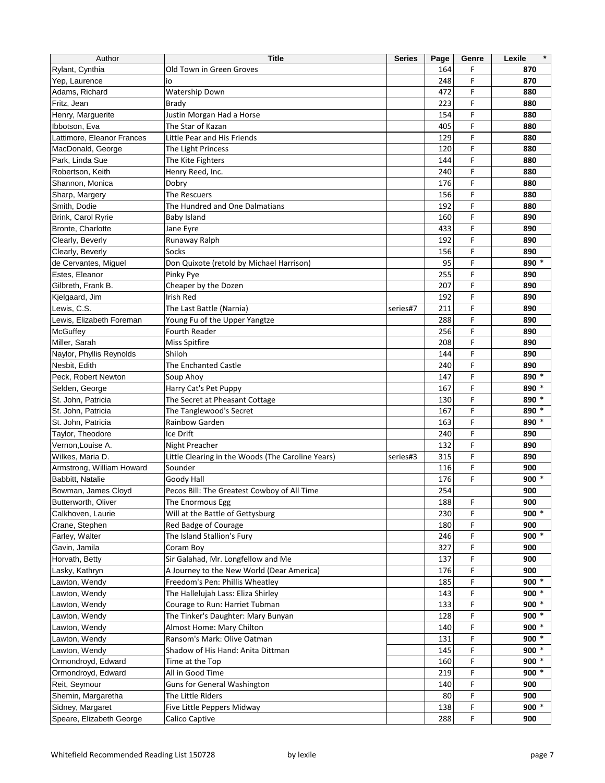| Author                     | <b>Title</b>                                      | <b>Series</b> | Page | Genre | $\star$<br>Lexile |
|----------------------------|---------------------------------------------------|---------------|------|-------|-------------------|
| Rylant, Cynthia            | Old Town in Green Groves                          |               | 164  | F     | 870               |
| Yep, Laurence              | io                                                |               | 248  | F     | 870               |
| Adams, Richard             | Watership Down                                    |               | 472  | F     | 880               |
| Fritz, Jean                | <b>Brady</b>                                      |               | 223  | F     | 880               |
| Henry, Marguerite          | Justin Morgan Had a Horse                         |               | 154  | F     | 880               |
| Ibbotson, Eva              | The Star of Kazan                                 |               | 405  | F     | 880               |
| Lattimore, Eleanor Frances | Little Pear and His Friends                       |               | 129  | F     | 880               |
| MacDonald, George          | The Light Princess                                |               | 120  | F     | 880               |
| Park, Linda Sue            | The Kite Fighters                                 |               | 144  | F     | 880               |
| Robertson, Keith           | Henry Reed, Inc.                                  |               | 240  | F     | 880               |
| Shannon, Monica            | Dobry                                             |               | 176  | F     | 880               |
| Sharp, Margery             | The Rescuers                                      |               | 156  | F     | 880               |
| Smith, Dodie               | The Hundred and One Dalmatians                    |               | 192  | F     | 880               |
| Brink, Carol Ryrie         | Baby Island                                       |               | 160  | F     | 890               |
| Bronte, Charlotte          | Jane Eyre                                         |               | 433  | F     | 890               |
| Clearly, Beverly           | Runaway Ralph                                     |               | 192  | F     | 890               |
| Clearly, Beverly           | Socks                                             |               | 156  | F     | 890               |
| de Cervantes, Miguel       | Don Quixote (retold by Michael Harrison)          |               | 95   | F     | 890 *             |
| Estes, Eleanor             | Pinky Pye                                         |               | 255  | F     | 890               |
| Gilbreth, Frank B.         | Cheaper by the Dozen                              |               | 207  | F     | 890               |
| Kjelgaard, Jim             | Irish Red                                         |               | 192  | F     | 890               |
| Lewis, C.S.                | The Last Battle (Narnia)                          | series#7      | 211  | F     | 890               |
| Lewis, Elizabeth Foreman   | Young Fu of the Upper Yangtze                     |               | 288  | F     | 890               |
| McGuffey                   | Fourth Reader                                     |               | 256  | F     | 890               |
| Miller, Sarah              | Miss Spitfire                                     |               | 208  | F     | 890               |
| Naylor, Phyllis Reynolds   | Shiloh                                            |               | 144  | F     | 890               |
| Nesbit, Edith              | The Enchanted Castle                              |               | 240  | F     | 890               |
| Peck, Robert Newton        | Soup Ahoy                                         |               | 147  | F     | 890 *             |
| Selden, George             | Harry Cat's Pet Puppy                             |               | 167  | F     | 890 *             |
| St. John, Patricia         | The Secret at Pheasant Cottage                    |               | 130  | F     | 890 *             |
| St. John, Patricia         | The Tanglewood's Secret                           |               | 167  | F     | 890 *             |
| St. John, Patricia         | Rainbow Garden                                    |               | 163  | F     | 890 *             |
| Taylor, Theodore           | Ice Drift                                         |               | 240  | F     | 890               |
| Vernon.Louise A.           | Night Preacher                                    |               | 132  | F     | 890               |
| Wilkes, Maria D.           | Little Clearing in the Woods (The Caroline Years) | series#3      | 315  | F     | 890               |
| Armstrong, William Howard  | Sounder                                           |               | 116  | F     | 900               |
| Babbitt, Natalie           | Goody Hall                                        |               | 176  | F     | $900 *$           |
| Bowman, James Cloyd        | Pecos Bill: The Greatest Cowboy of All Time       |               | 254  |       | 900               |
| Butterworth, Oliver        | The Enormous Egg                                  |               | 188  | F     | 900               |
| Calkhoven, Laurie          | Will at the Battle of Gettysburg                  |               | 230  | F     | 900 $*$           |
| Crane, Stephen             | Red Badge of Courage                              |               | 180  | F     | 900               |
| Farley, Walter             | The Island Stallion's Fury                        |               | 246  | F     | $900 *$           |
| Gavin, Jamila              | Coram Boy                                         |               | 327  | F     | 900               |
| Horvath, Betty             | Sir Galahad, Mr. Longfellow and Me                |               | 137  | F     | 900               |
| Lasky, Kathryn             | A Journey to the New World (Dear America)         |               | 176  | F     | 900               |
| Lawton, Wendy              | Freedom's Pen: Phillis Wheatley                   |               | 185  | F     | $900 *$           |
| Lawton, Wendy              | The Hallelujah Lass: Eliza Shirley                |               | 143  | F     | $900 *$           |
| Lawton, Wendy              | Courage to Run: Harriet Tubman                    |               | 133  | F     | $900 *$           |
| Lawton, Wendy              | The Tinker's Daughter: Mary Bunyan                |               | 128  | F     | $900 *$           |
| Lawton, Wendy              | Almost Home: Mary Chilton                         |               | 140  | F     | $900 *$           |
| Lawton, Wendy              | Ransom's Mark: Olive Oatman                       |               | 131  | F     | $900 *$           |
| Lawton, Wendy              | Shadow of His Hand: Anita Dittman                 |               | 145  | F     | 900 $*$           |
| Ormondroyd, Edward         | Time at the Top                                   |               | 160  | F     | $900 *$           |
| Ormondroyd, Edward         | All in Good Time                                  |               | 219  | F     | $900 *$           |
| Reit, Seymour              | Guns for General Washington                       |               | 140  | F     | 900               |
| Shemin, Margaretha         | The Little Riders                                 |               | 80   | F     | 900               |
| Sidney, Margaret           | Five Little Peppers Midway                        |               | 138  | F     | $900 *$           |
| Speare, Elizabeth George   | Calico Captive                                    |               | 288  | F     | 900               |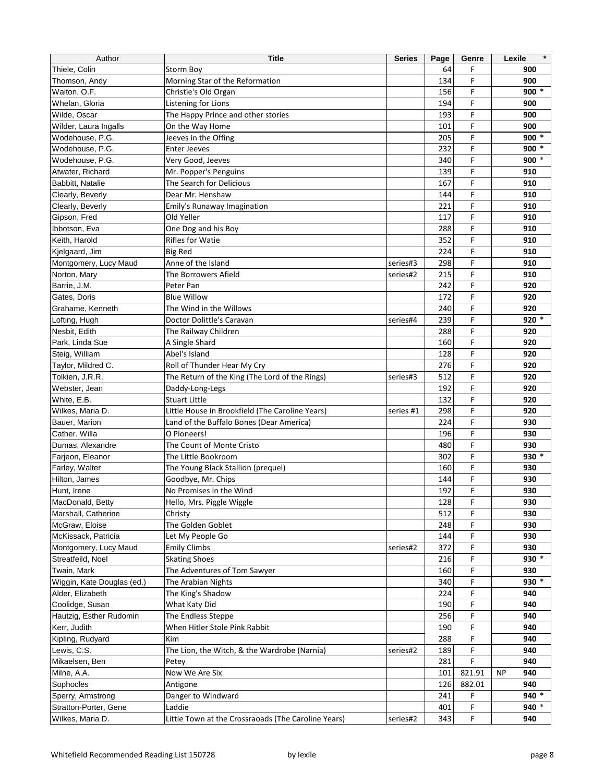| Author                     | <b>Title</b>                                        | <b>Series</b> | Page | Genre  | $\star$<br>Lexile |
|----------------------------|-----------------------------------------------------|---------------|------|--------|-------------------|
| Thiele, Colin              | Storm Boy                                           |               | 64   | F      | 900               |
| Thomson, Andy              | Morning Star of the Reformation                     |               | 134  | F      | 900               |
| Walton, O.F.               | Christie's Old Organ                                |               | 156  | F      | 900 $*$           |
| Whelan, Gloria             | Listening for Lions                                 |               | 194  | F      | 900               |
| Wilde, Oscar               | The Happy Prince and other stories                  |               | 193  | F      | 900               |
| Wilder, Laura Ingalls      | On the Way Home                                     |               | 101  | F      | 900               |
| Wodehouse, P.G.            | Jeeves in the Offing                                |               | 205  | F      | $900 *$           |
| Wodehouse, P.G.            | <b>Enter Jeeves</b>                                 |               | 232  | F      | $900 *$           |
| Wodehouse, P.G.            | Very Good, Jeeves                                   |               | 340  | F      | $900 *$           |
| Atwater, Richard           | Mr. Popper's Penguins                               |               | 139  | F      | 910               |
| Babbitt, Natalie           | The Search for Delicious                            |               | 167  | F      | 910               |
| Clearly, Beverly           | Dear Mr. Henshaw                                    |               | 144  | F      | 910               |
| Clearly, Beverly           | Emily's Runaway Imagination                         |               | 221  | F      | 910               |
| Gipson, Fred               | Old Yeller                                          |               | 117  | F      | 910               |
| Ibbotson, Eva              | One Dog and his Boy                                 |               | 288  | F      | 910               |
| Keith, Harold              | <b>Rifles for Watie</b>                             |               | 352  | F      | 910               |
| Kjelgaard, Jim             | <b>Big Red</b>                                      |               | 224  | F      | 910               |
| Montgomery, Lucy Maud      | Anne of the Island                                  | series#3      | 298  | F      | 910               |
| Norton, Mary               | The Borrowers Afield                                | series#2      | 215  | F      | 910               |
| Barrie, J.M.               | Peter Pan                                           |               | 242  | F      | 920               |
| Gates, Doris               | <b>Blue Willow</b>                                  |               | 172  | F      | 920               |
| Grahame, Kenneth           | The Wind in the Willows                             |               | 240  | F      | 920               |
| Lofting, Hugh              | Doctor Dolittle's Caravan                           | series#4      | 239  | F      | $920 *$           |
| Nesbit. Edith              | The Railway Children                                |               | 288  | F      | 920               |
| Park, Linda Sue            | A Single Shard                                      |               | 160  | F      | 920               |
| Steig, William             | Abel's Island                                       |               | 128  | F      | 920               |
| Taylor, Mildred C.         | Roll of Thunder Hear My Cry                         |               | 276  | F      | 920               |
| Tolkien, J.R.R.            | The Return of the King (The Lord of the Rings)      | series#3      | 512  | F      | 920               |
| Webster, Jean              | Daddy-Long-Legs                                     |               | 192  | F      | 920               |
| White, E.B.                | <b>Stuart Little</b>                                |               | 132  | F      | 920               |
| Wilkes, Maria D.           | Little House in Brookfield (The Caroline Years)     | series #1     | 298  | F      | 920               |
| Bauer, Marion              | Land of the Buffalo Bones (Dear America)            |               | 224  | F      | 930               |
| Cather, Willa              | O Pioneers!                                         |               | 196  | F      | 930               |
| Dumas, Alexandre           | The Count of Monte Cristo                           |               | 480  | F      | 930               |
| Farjeon, Eleanor           | The Little Bookroom                                 |               | 302  | F      | $930 *$           |
| Farley, Walter             | The Young Black Stallion (prequel)                  |               | 160  | F      | 930               |
| Hilton, James              | Goodbye, Mr. Chips                                  |               | 144  | F      | 930               |
| Hunt, Irene                | No Promises in the Wind                             |               | 192  | F      | 930               |
| MacDonald, Betty           | Hello, Mrs. Piggle Wiggle                           |               | 128  | F      | 930               |
| Marshall, Catherine        | Christy                                             |               | 512  | F      | 930               |
| McGraw, Eloise             | The Golden Goblet                                   |               | 248  | F      | 930               |
| McKissack, Patricia        | Let My People Go                                    |               | 144  | F      | 930               |
| Montgomery, Lucy Maud      | <b>Emily Climbs</b>                                 | series#2      | 372  | F      | 930               |
| Streatfeild, Noel          | <b>Skating Shoes</b>                                |               | 216  | F      | 930 *             |
| Twain, Mark                | The Adventures of Tom Sawyer                        |               | 160  | F      | 930               |
| Wiggin, Kate Douglas (ed.) | The Arabian Nights                                  |               | 340  | F      | 930 *             |
| Alder, Elizabeth           | The King's Shadow                                   |               | 224  | F      | 940               |
| Coolidge, Susan            | What Katy Did                                       |               | 190  | F      | 940               |
| Hautzig, Esther Rudomin    | The Endless Steppe                                  |               | 256  | F      | 940               |
| Kerr, Judith               | When Hitler Stole Pink Rabbit                       |               | 190  | F      | 940               |
| Kipling, Rudyard           | Kim                                                 |               | 288  | F      | 940               |
| Lewis, C.S.                | The Lion, the Witch, & the Wardrobe (Narnia)        | series#2      | 189  | F      | 940               |
| Mikaelsen, Ben             | Petey                                               |               | 281  | F      | 940               |
| Milne, A.A.                | Now We Are Six                                      |               | 101  | 821.91 | 940<br><b>NP</b>  |
| Sophocles                  | Antigone                                            |               | 126  | 882.01 | 940               |
| Sperry, Armstrong          | Danger to Windward                                  |               | 241  | F      | 940 *             |
| Stratton-Porter, Gene      | Laddie                                              |               | 401  | F      | $940 *$           |
| Wilkes, Maria D.           | Little Town at the Crossraoads (The Caroline Years) | series#2      | 343  | F      | 940               |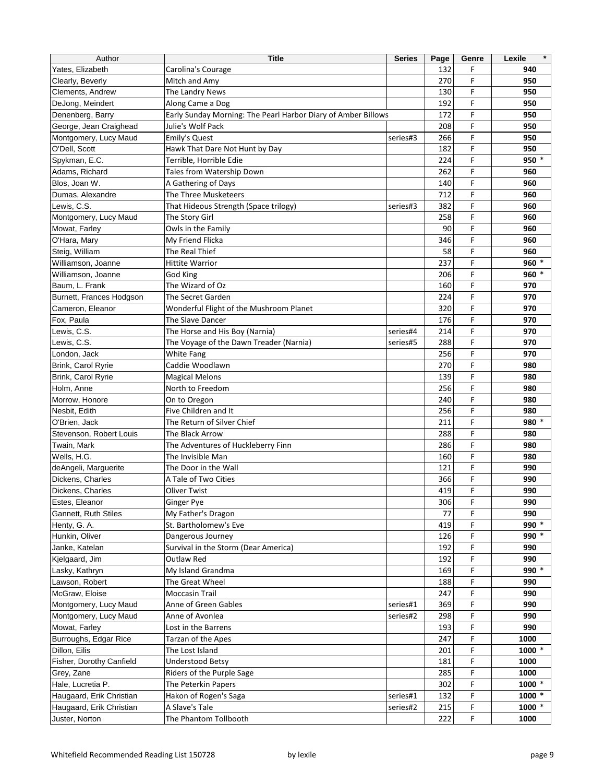| Author                   | <b>Title</b>                                                  | <b>Series</b> | Page | Genre | $\star$<br>Lexile |
|--------------------------|---------------------------------------------------------------|---------------|------|-------|-------------------|
| Yates, Elizabeth         | Carolina's Courage                                            |               | 132  | F     | 940               |
| Clearly, Beverly         | Mitch and Amy                                                 |               | 270  | F     | 950               |
| Clements, Andrew         | The Landry News                                               |               | 130  | F     | 950               |
| DeJong, Meindert         | Along Came a Dog                                              |               | 192  | F     | 950               |
| Denenberg, Barry         | Early Sunday Morning: The Pearl Harbor Diary of Amber Billows |               | 172  | F     | 950               |
| George, Jean Craighead   | Julie's Wolf Pack                                             |               | 208  | F     | 950               |
| Montgomery, Lucy Maud    | Emily's Quest                                                 | series#3      | 266  | F     | 950               |
| O'Dell, Scott            | Hawk That Dare Not Hunt by Day                                |               | 182  | F     | 950               |
| Spykman, E.C.            | Terrible, Horrible Edie                                       |               | 224  | F     | 950 *             |
| Adams, Richard           | Tales from Watership Down                                     |               | 262  | F     | 960               |
| Blos, Joan W.            | A Gathering of Days                                           |               | 140  | F     | 960               |
| Dumas, Alexandre         | The Three Musketeers                                          |               | 712  | F     | 960               |
| Lewis, C.S.              | That Hideous Strength (Space trilogy)                         | series#3      | 382  | F     | 960               |
| Montgomery, Lucy Maud    | The Story Girl                                                |               | 258  | F     | 960               |
| Mowat, Farley            | Owls in the Family                                            |               | 90   | F     | 960               |
| O'Hara, Mary             | My Friend Flicka                                              |               | 346  | F     | 960               |
| Steig, William           | The Real Thief                                                |               | 58   | F     | 960               |
| Williamson, Joanne       | <b>Hittite Warrior</b>                                        |               | 237  | F     | 960 *             |
| Williamson, Joanne       |                                                               |               |      | F     | 960 *             |
|                          | God King<br>The Wizard of Oz                                  |               | 206  | F     |                   |
| Baum, L. Frank           |                                                               |               | 160  |       | 970               |
| Burnett, Frances Hodgson | The Secret Garden                                             |               | 224  | F     | 970               |
| Cameron, Eleanor         | Wonderful Flight of the Mushroom Planet                       |               | 320  | F     | 970               |
| Fox, Paula               | The Slave Dancer                                              |               | 176  | F     | 970               |
| Lewis, C.S.              | The Horse and His Boy (Narnia)                                | series#4      | 214  | F     | 970               |
| Lewis, C.S.              | The Voyage of the Dawn Treader (Narnia)                       | series#5      | 288  | F     | 970               |
| London, Jack             | White Fang                                                    |               | 256  | F     | 970               |
| Brink, Carol Ryrie       | Caddie Woodlawn                                               |               | 270  | F     | 980               |
| Brink, Carol Ryrie       | <b>Magical Melons</b>                                         |               | 139  | F     | 980               |
| Holm, Anne               | North to Freedom                                              |               | 256  | F     | 980               |
| Morrow, Honore           | On to Oregon                                                  |               | 240  | F     | 980               |
| Nesbit, Edith            | Five Children and It                                          |               | 256  | F     | 980               |
| O'Brien, Jack            | The Return of Silver Chief                                    |               | 211  | F     | 980 *             |
| Stevenson, Robert Louis  | The Black Arrow                                               |               | 288  | F     | 980               |
| Twain, Mark              | The Adventures of Huckleberry Finn                            |               | 286  | F     | 980               |
| Wells, H.G.              | The Invisible Man                                             |               | 160  | F     | 980               |
| deAngeli, Marguerite     | The Door in the Wall                                          |               | 121  | F     | 990               |
| Dickens, Charles         | A Tale of Two Cities                                          |               | 366  | F     | 990               |
| Dickens, Charles         | Oliver Twist                                                  |               | 419  | F     | 990               |
| Estes, Eleanor           | Ginger Pye                                                    |               | 306  | F     | 990               |
| Gannett, Ruth Stiles     | My Father's Dragon                                            |               | 77   | F     | 990               |
| Henty, G. A.             | St. Bartholomew's Eve                                         |               | 419  | F     | 990 *             |
| Hunkin, Oliver           | Dangerous Journey                                             |               | 126  | F     | 990 *             |
| Janke, Katelan           | Survival in the Storm (Dear America)                          |               | 192  | F     | 990               |
| Kjelgaard, Jim           | Outlaw Red                                                    |               | 192  | F     | 990               |
| Lasky, Kathryn           | My Island Grandma                                             |               | 169  | F     | 990 *             |
| Lawson, Robert           | The Great Wheel                                               |               | 188  | F     | 990               |
| McGraw, Eloise           | <b>Moccasin Trail</b>                                         |               | 247  | F     | 990               |
| Montgomery, Lucy Maud    | Anne of Green Gables                                          | series#1      | 369  | F     | 990               |
| Montgomery, Lucy Maud    | Anne of Avonlea                                               | series#2      | 298  | F     | 990               |
| Mowat, Farley            | Lost in the Barrens                                           |               | 193  | F     | 990               |
| Burroughs, Edgar Rice    | Tarzan of the Apes                                            |               | 247  | F     | 1000              |
| Dillon, Eilis            | The Lost Island                                               |               | 201  | F     | 1000 *            |
| Fisher, Dorothy Canfield | <b>Understood Betsy</b>                                       |               | 181  | F     | 1000              |
| Grey, Zane               | Riders of the Purple Sage                                     |               | 285  | F     | 1000              |
| Hale, Lucretia P.        | The Peterkin Papers                                           |               | 302  | F     | 1000 *            |
| Haugaard, Erik Christian | Hakon of Rogen's Saga                                         | series#1      | 132  | F     | 1000 *            |
| Haugaard, Erik Christian | A Slave's Tale                                                | series#2      | 215  | F     | 1000 *            |
| Juster, Norton           | The Phantom Tollbooth                                         |               | 222  | F     | 1000              |
|                          |                                                               |               |      |       |                   |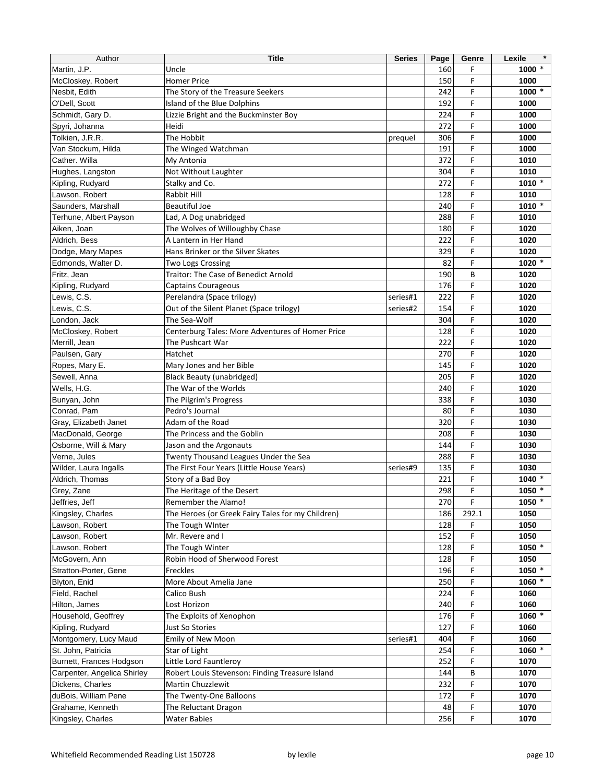| Author                      | <b>Title</b>                                      | <b>Series</b> | Page | Genre | $\star$<br>Lexile |
|-----------------------------|---------------------------------------------------|---------------|------|-------|-------------------|
| Martin, J.P.                | Uncle                                             |               | 160  | F     | $1000 *$          |
| McCloskey, Robert           | <b>Homer Price</b>                                |               | 150  | F     | 1000              |
| Nesbit, Edith               | The Story of the Treasure Seekers                 |               | 242  | F     | 1000 *            |
| O'Dell, Scott               | Island of the Blue Dolphins                       |               | 192  | F     | 1000              |
| Schmidt, Gary D.            | Lizzie Bright and the Buckminster Boy             |               | 224  | F     | 1000              |
| Spyri, Johanna              | Heidi                                             |               | 272  | F     | 1000              |
| Tolkien, J.R.R.             | The Hobbit                                        | prequel       | 306  | F     | 1000              |
| Van Stockum, Hilda          | The Winged Watchman                               |               | 191  | F     | 1000              |
| Cather. Willa               | My Antonia                                        |               | 372  | F     | 1010              |
|                             | Not Without Laughter                              |               | 304  | F     | 1010              |
| Hughes, Langston            |                                                   |               |      | F     |                   |
| Kipling, Rudyard            | Stalky and Co.                                    |               | 272  |       | 1010 *            |
| Lawson, Robert              | Rabbit Hill                                       |               | 128  | F     | 1010              |
| Saunders, Marshall          | <b>Beautiful Joe</b>                              |               | 240  | F     | 1010 *            |
| Terhune, Albert Payson      | Lad, A Dog unabridged                             |               | 288  | F     | 1010              |
| Aiken, Joan                 | The Wolves of Willoughby Chase                    |               | 180  | F     | 1020              |
| Aldrich, Bess               | A Lantern in Her Hand                             |               | 222  | F     | 1020              |
| Dodge, Mary Mapes           | Hans Brinker or the Silver Skates                 |               | 329  | F     | 1020              |
| Edmonds. Walter D.          | <b>Two Logs Crossing</b>                          |               | 82   | F     | 1020 *            |
| Fritz, Jean                 | Traitor: The Case of Benedict Arnold              |               | 190  | В     | 1020              |
| Kipling, Rudyard            | <b>Captains Courageous</b>                        |               | 176  | F     | 1020              |
| Lewis, C.S.                 | Perelandra (Space trilogy)                        | series#1      | 222  | F     | 1020              |
| Lewis, C.S.                 | Out of the Silent Planet (Space trilogy)          | series#2      | 154  | F     | 1020              |
| London, Jack                | The Sea-Wolf                                      |               | 304  | F     | 1020              |
| McCloskey, Robert           | Centerburg Tales: More Adventures of Homer Price  |               | 128  | F     | 1020              |
| Merrill, Jean               | The Pushcart War                                  |               | 222  | F     | 1020              |
| Paulsen, Gary               | Hatchet                                           |               | 270  | F     | 1020              |
| Ropes, Mary E.              | Mary Jones and her Bible                          |               | 145  | F     | 1020              |
| Sewell, Anna                | <b>Black Beauty (unabridged)</b>                  |               | 205  | F     | 1020              |
| Wells, H.G.                 | The War of the Worlds                             |               | 240  | F     | 1020              |
|                             |                                                   |               |      | F     | 1030              |
| Bunyan, John                | The Pilgrim's Progress<br>Pedro's Journal         |               | 338  | F     |                   |
| Conrad, Pam                 |                                                   |               | 80   |       | 1030              |
| Gray, Elizabeth Janet       | Adam of the Road                                  |               | 320  | F     | 1030              |
| MacDonald, George           | The Princess and the Goblin                       |               | 208  | F     | 1030              |
| Osborne, Will & Mary        | Jason and the Argonauts                           |               | 144  | F     | 1030              |
| Verne, Jules                | Twenty Thousand Leagues Under the Sea             |               | 288  | F     | 1030              |
| Wilder, Laura Ingalls       | The First Four Years (Little House Years)         | series#9      | 135  | F     | 1030              |
| Aldrich, Thomas             | Story of a Bad Boy                                |               | 221  | F     | 1040 *            |
| Grey, Zane                  | The Heritage of the Desert                        |               | 298  | F     | 1050 *            |
| Jeffries, Jeff              | Remember the Alamo!                               |               | 270  | F     | 1050 *            |
| Kingsley, Charles           | The Heroes (or Greek Fairy Tales for my Children) |               | 186  | 292.1 | 1050              |
| Lawson, Robert              | The Tough Winter                                  |               | 128  | F     | 1050              |
| Lawson, Robert              | Mr. Revere and I                                  |               | 152  | F     | 1050              |
| Lawson, Robert              | The Tough Winter                                  |               | 128  | F     | 1050 *            |
| McGovern, Ann               | Robin Hood of Sherwood Forest                     |               | 128  | F     | 1050              |
| Stratton-Porter, Gene       | Freckles                                          |               | 196  | F     | 1050 *            |
| Blyton, Enid                | More About Amelia Jane                            |               | 250  | F     | 1060 *            |
| Field, Rachel               | Calico Bush                                       |               | 224  | F     | 1060              |
| Hilton, James               | Lost Horizon                                      |               | 240  | F     | 1060              |
| Household, Geoffrey         | The Exploits of Xenophon                          |               | 176  | F     | 1060 *            |
| Kipling, Rudyard            | Just So Stories                                   |               | 127  | F     | 1060              |
| Montgomery, Lucy Maud       | Emily of New Moon                                 | series#1      | 404  | F     | 1060              |
| St. John, Patricia          |                                                   |               | 254  | F     | 1060 *            |
|                             | Star of Light                                     |               |      | F     |                   |
| Burnett, Frances Hodgson    | Little Lord Fauntleroy                            |               | 252  |       | 1070              |
| Carpenter, Angelica Shirley | Robert Louis Stevenson: Finding Treasure Island   |               | 144  | В     | 1070              |
| Dickens, Charles            | Martin Chuzzlewit                                 |               | 232  | F     | 1070              |
| duBois, William Pene        | The Twenty-One Balloons                           |               | 172  | F     | 1070              |
| Grahame, Kenneth            | The Reluctant Dragon                              |               | 48   | F     | 1070              |
| Kingsley, Charles           | <b>Water Babies</b>                               |               | 256  | F     | 1070              |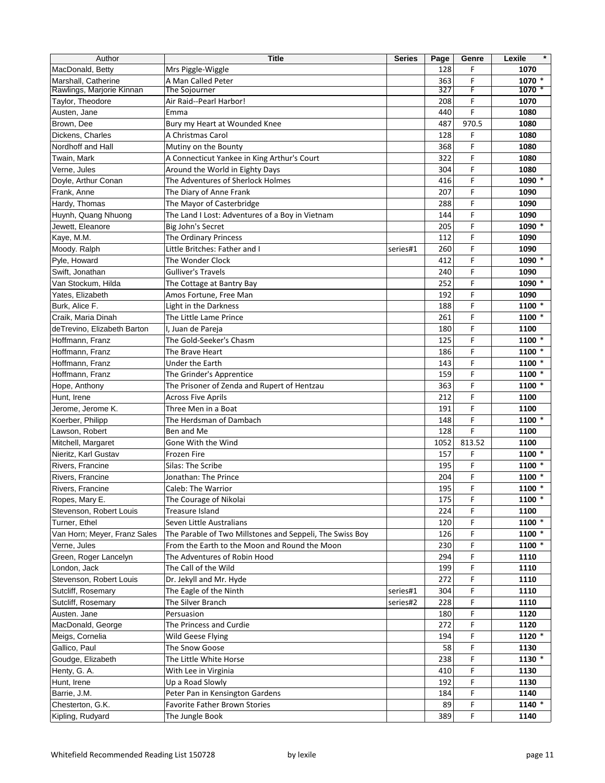| Author                       | <b>Title</b>                                             | <b>Series</b> | Page | Genre  | $\star$<br>Lexile |
|------------------------------|----------------------------------------------------------|---------------|------|--------|-------------------|
| MacDonald, Betty             | Mrs Piggle-Wiggle                                        |               | 128  | F      | 1070              |
| Marshall, Catherine          | A Man Called Peter                                       |               | 363  | F      | 1070 *            |
| Rawlings, Marjorie Kinnan    | The Sojourner                                            |               | 327  | F      | $1070*$           |
| Taylor, Theodore             | Air Raid--Pearl Harbor!                                  |               | 208  | F      | 1070              |
| Austen, Jane                 | Emma                                                     |               | 440  | F      | 1080              |
| Brown, Dee                   | Bury my Heart at Wounded Knee                            |               | 487  | 970.5  | 1080              |
| Dickens, Charles             | A Christmas Carol                                        |               | 128  | F      | 1080              |
| Nordhoff and Hall            | Mutiny on the Bounty                                     |               | 368  | F      | 1080              |
| Twain, Mark                  | A Connecticut Yankee in King Arthur's Court              |               | 322  | F      | 1080              |
| Verne, Jules                 | Around the World in Eighty Days                          |               | 304  | F      | 1080              |
| Doyle, Arthur Conan          | The Adventures of Sherlock Holmes                        |               | 416  | F      | 1090 *            |
| Frank, Anne                  | The Diary of Anne Frank                                  |               | 207  | F      | 1090              |
|                              |                                                          |               | 288  | F      | 1090              |
| Hardy, Thomas                | The Mayor of Casterbridge                                |               |      |        |                   |
| Huynh, Quang Nhuong          | The Land I Lost: Adventures of a Boy in Vietnam          |               | 144  | F      | 1090              |
| Jewett, Eleanore             | Big John's Secret                                        |               | 205  | F      | 1090 *            |
| Kaye, M.M.                   | The Ordinary Princess                                    |               | 112  | F      | 1090              |
| Moody. Ralph                 | Little Britches: Father and I                            | series#1      | 260  | F      | 1090              |
| Pyle, Howard                 | The Wonder Clock                                         |               | 412  | F      | 1090 *            |
| Swift, Jonathan              | <b>Gulliver's Travels</b>                                |               | 240  | F      | 1090              |
| Van Stockum, Hilda           | The Cottage at Bantry Bay                                |               | 252  | F      | 1090 *            |
| Yates, Elizabeth             | Amos Fortune, Free Man                                   |               | 192  | F      | 1090              |
| Burk, Alice F.               | Light in the Darkness                                    |               | 188  | F      | 1100 *            |
| Craik, Maria Dinah           | The Little Lame Prince                                   |               | 261  | F      | 1100 *            |
| deTrevino, Elizabeth Barton  | I, Juan de Pareja                                        |               | 180  | F      | 1100              |
| Hoffmann, Franz              | The Gold-Seeker's Chasm                                  |               | 125  | F      | 1100 *            |
| Hoffmann, Franz              | The Brave Heart                                          |               | 186  | F      | 1100 *            |
| Hoffmann, Franz              | <b>Under the Earth</b>                                   |               | 143  | F      | 1100 *            |
| Hoffmann, Franz              | The Grinder's Apprentice                                 |               | 159  | F      | 1100 *            |
| Hope, Anthony                | The Prisoner of Zenda and Rupert of Hentzau              |               | 363  | F      | 1100 *            |
|                              |                                                          |               | 212  | F      | 1100              |
| Hunt, Irene                  | <b>Across Five Aprils</b>                                |               |      | F      |                   |
| Jerome, Jerome K.            | Three Men in a Boat                                      |               | 191  |        | 1100              |
| Koerber, Philipp             | The Herdsman of Dambach                                  |               | 148  | F      | 1100 *            |
| Lawson, Robert               | Ben and Me                                               |               | 128  | F      | 1100              |
| Mitchell, Margaret           | Gone With the Wind                                       |               | 1052 | 813.52 | 1100              |
| Nieritz, Karl Gustav         | Frozen Fire                                              |               | 157  | F      | 1100 *            |
| Rivers, Francine             | Silas: The Scribe                                        |               | 195  | F      | 1100 *            |
| Rivers, Francine             | Jonathan: The Prince                                     |               | 204  | F      | 1100 *            |
| Rivers, Francine             | Caleb: The Warrior                                       |               | 195  | F      | 1100 *            |
| Ropes, Mary E.               | The Courage of Nikolai                                   |               | 175  | F      | 1100 *            |
| Stevenson, Robert Louis      | <b>Treasure Island</b>                                   |               | 224  | F      | 1100              |
| Turner, Ethel                | Seven Little Australians                                 |               | 120  | F      | 1100 *            |
| Van Horn; Meyer, Franz Sales | The Parable of Two Millstones and Seppeli, The Swiss Boy |               | 126  | F      | 1100 *            |
| Verne, Jules                 | From the Earth to the Moon and Round the Moon            |               | 230  | F      | 1100 *            |
| Green, Roger Lancelyn        | The Adventures of Robin Hood                             |               | 294  | F      | 1110              |
| London, Jack                 | The Call of the Wild                                     |               | 199  | F      | 1110              |
| Stevenson, Robert Louis      | Dr. Jekyll and Mr. Hyde                                  |               | 272  | F      | 1110              |
| Sutcliff, Rosemary           | The Eagle of the Ninth                                   | series#1      | 304  | F      | 1110              |
| Sutcliff, Rosemary           | The Silver Branch                                        | series#2      | 228  | F      | 1110              |
| Austen. Jane                 | Persuasion                                               |               | 180  | F      | 1120              |
|                              |                                                          |               |      |        |                   |
| MacDonald, George            | The Princess and Curdie                                  |               | 272  | F      | 1120              |
| Meigs, Cornelia              | Wild Geese Flying                                        |               | 194  | F      | 1120 *            |
| Gallico, Paul                | The Snow Goose                                           |               | 58   | F      | 1130              |
| Goudge, Elizabeth            | The Little White Horse                                   |               | 238  | F      | 1130 *            |
| Henty, G. A.                 | With Lee in Virginia                                     |               | 410  | F      | 1130              |
| Hunt, Irene                  | Up a Road Slowly                                         |               | 192  | F      | 1130              |
| Barrie, J.M.                 | Peter Pan in Kensington Gardens                          |               | 184  | F      | 1140              |
| Chesterton, G.K.             | <b>Favorite Father Brown Stories</b>                     |               | 89   | F      | 1140 *            |
| Kipling, Rudyard             | The Jungle Book                                          |               | 389  | F      | 1140              |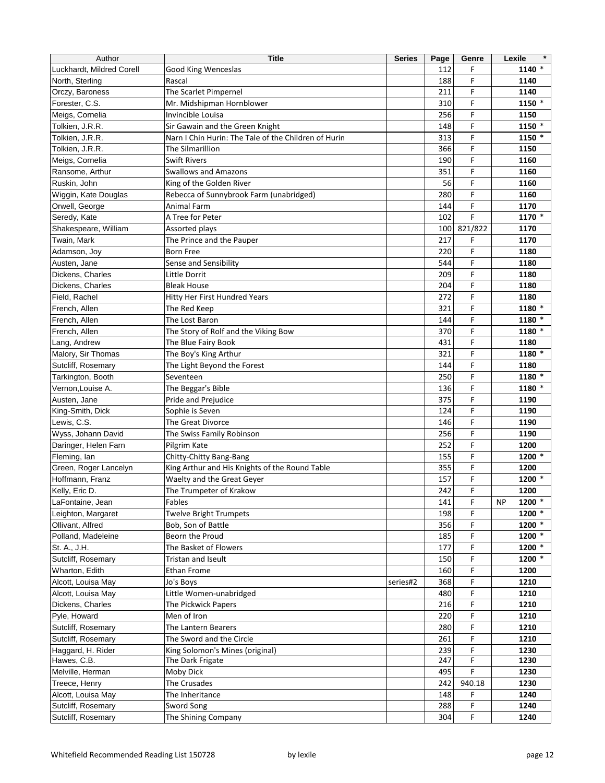| Author                    | <b>Title</b>                                         | <b>Series</b> | Page | Genre   | $\star$<br>Lexile |
|---------------------------|------------------------------------------------------|---------------|------|---------|-------------------|
| Luckhardt, Mildred Corell | Good King Wenceslas                                  |               | 112  | F       | 1140 *            |
| North, Sterling           | Rascal                                               |               | 188  | F       | 1140              |
| Orczy, Baroness           | The Scarlet Pimpernel                                |               | 211  | F       | 1140              |
| Forester, C.S.            | Mr. Midshipman Hornblower                            |               | 310  | F       | 1150 *            |
| Meigs, Cornelia           | Invincible Louisa                                    |               | 256  | F       | 1150              |
| Tolkien, J.R.R.           | Sir Gawain and the Green Knight                      |               | 148  | F       | 1150 *            |
| Tolkien, J.R.R.           | Narn I Chin Hurin: The Tale of the Children of Hurin |               | 313  | F       | 1150 *            |
| Tolkien, J.R.R.           | The Silmarillion                                     |               | 366  | F       | 1150              |
| Meigs, Cornelia           | <b>Swift Rivers</b>                                  |               | 190  | F       | 1160              |
| Ransome, Arthur           | <b>Swallows and Amazons</b>                          |               | 351  | F       | 1160              |
| Ruskin, John              | King of the Golden River                             |               | 56   | F       | 1160              |
| Wiggin, Kate Douglas      | Rebecca of Sunnybrook Farm (unabridged)              |               | 280  | F       | 1160              |
| Orwell, George            | Animal Farm                                          |               | 144  | F       | 1170              |
| Seredy, Kate              | A Tree for Peter                                     |               | 102  | F       | 1170 *            |
| Shakespeare, William      | Assorted plays                                       |               | 100  | 821/822 | 1170              |
| Twain, Mark               |                                                      |               | 217  | F       | 1170              |
|                           | The Prince and the Pauper                            |               |      | F       |                   |
| Adamson, Joy              | <b>Born Free</b>                                     |               | 220  |         | 1180              |
| Austen, Jane              | Sense and Sensibility                                |               | 544  | F       | 1180              |
| Dickens, Charles          | Little Dorrit                                        |               | 209  | F       | 1180              |
| Dickens, Charles          | <b>Bleak House</b>                                   |               | 204  | F       | 1180              |
| Field, Rachel             | Hitty Her First Hundred Years                        |               | 272  | F       | 1180              |
| French, Allen             | The Red Keep                                         |               | 321  | F       | 1180 *            |
| French, Allen             | The Lost Baron                                       |               | 144  | F       | 1180 *            |
| French, Allen             | The Story of Rolf and the Viking Bow                 |               | 370  | F       | 1180 *            |
| Lang, Andrew              | The Blue Fairy Book                                  |               | 431  | F       | 1180              |
| Malory, Sir Thomas        | The Boy's King Arthur                                |               | 321  | F       | 1180 *            |
| Sutcliff, Rosemary        | The Light Beyond the Forest                          |               | 144  | F       | 1180              |
| Tarkington, Booth         | Seventeen                                            |               | 250  | F       | 1180 *            |
| Vernon, Louise A.         | The Beggar's Bible                                   |               | 136  | F       | 1180 *            |
| Austen, Jane              | Pride and Prejudice                                  |               | 375  | F       | 1190              |
| King-Smith, Dick          | Sophie is Seven                                      |               | 124  | F       | 1190              |
| Lewis, C.S.               | The Great Divorce                                    |               | 146  | F       | 1190              |
| Wyss, Johann David        | The Swiss Family Robinson                            |               | 256  | F       | 1190              |
| Daringer, Helen Farn      | Pilgrim Kate                                         |               | 252  | F       | 1200              |
| Fleming, lan              | Chitty-Chitty Bang-Bang                              |               | 155  | F       | 1200 *            |
| Green, Roger Lancelyn     | King Arthur and His Knights of the Round Table       |               | 355  | F       | 1200              |
| Hoffmann, Franz           | Waelty and the Great Geyer                           |               | 157  | F       | 1200 *            |
| Kelly, Eric D.            | The Trumpeter of Krakow                              |               | 242  | F       | 1200              |
| LaFontaine, Jean          | Fables                                               |               | 141  | F       | 1200 *<br>NP.     |
| Leighton, Margaret        | <b>Twelve Bright Trumpets</b>                        |               | 198  | F       | 1200 *            |
| Ollivant, Alfred          | Bob, Son of Battle                                   |               | 356  | F       | 1200 *            |
| Polland, Madeleine        | Beorn the Proud                                      |               | 185  | F       | 1200 *            |
| St. A., J.H.              | The Basket of Flowers                                |               | 177  | F       | 1200 *            |
| Sutcliff, Rosemary        | Tristan and Iseult                                   |               | 150  | F       | 1200 *            |
| Wharton, Edith            | <b>Ethan Frome</b>                                   |               | 160  | F       | 1200              |
| Alcott, Louisa May        | Jo's Boys                                            | series#2      | 368  | F       | 1210              |
| Alcott, Louisa May        | Little Women-unabridged                              |               | 480  | F       | 1210              |
| Dickens, Charles          | The Pickwick Papers                                  |               | 216  | F       | 1210              |
| Pyle, Howard              | Men of Iron                                          |               | 220  | F       | 1210              |
| Sutcliff, Rosemary        | The Lantern Bearers                                  |               | 280  | F       | 1210              |
| Sutcliff, Rosemary        | The Sword and the Circle                             |               | 261  | F       | 1210              |
| Haggard, H. Rider         | King Solomon's Mines (original)                      |               | 239  | F       | 1230              |
| Hawes, C.B.               | The Dark Frigate                                     |               | 247  | F       | 1230              |
| Melville, Herman          | Moby Dick                                            |               | 495  | F       | 1230              |
| Treece, Henry             | The Crusades                                         |               | 242  | 940.18  | 1230              |
| Alcott, Louisa May        | The Inheritance                                      |               | 148  | F       | 1240              |
|                           |                                                      |               |      |         |                   |
| Sutcliff, Rosemary        | Sword Song                                           |               | 288  | F       | 1240              |
| Sutcliff, Rosemary        | The Shining Company                                  |               | 304  | F       | 1240              |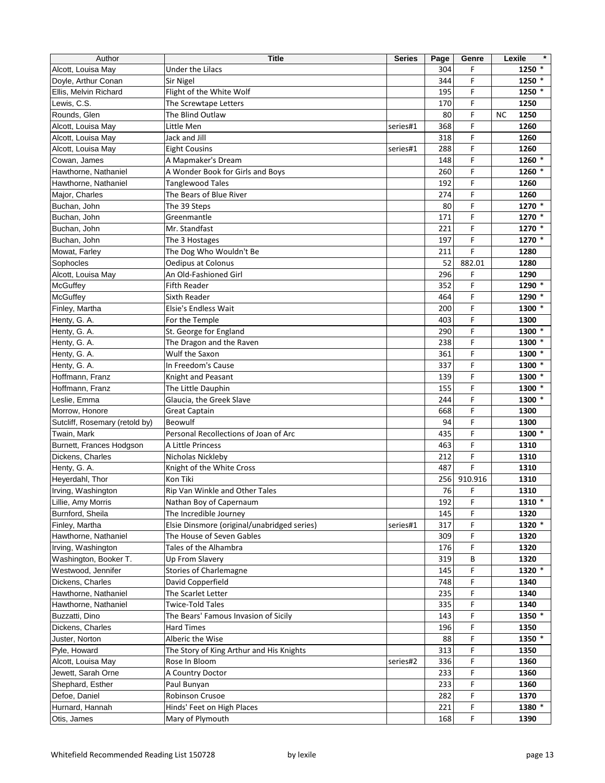| Author                         | <b>Title</b>                                | <b>Series</b> | Page | Genre   | $\star$<br>Lexile |
|--------------------------------|---------------------------------------------|---------------|------|---------|-------------------|
| Alcott, Louisa May             | Under the Lilacs                            |               | 304  | F       | 1250 *            |
| Doyle, Arthur Conan            | <b>Sir Nigel</b>                            |               | 344  | F.      | 1250 *            |
| Ellis, Melvin Richard          | Flight of the White Wolf                    |               | 195  | F.      | 1250 *            |
| Lewis, C.S.                    | The Screwtape Letters                       |               | 170  | F       | 1250              |
| Rounds, Glen                   | The Blind Outlaw                            |               | 80   | F       | 1250<br>NC        |
| Alcott, Louisa May             | Little Men                                  | series#1      | 368  | F       | 1260              |
| Alcott, Louisa May             | Jack and Jill                               |               | 318  | F       | 1260              |
| Alcott, Louisa May             | <b>Eight Cousins</b>                        | series#1      | 288  | F       | 1260              |
| Cowan, James                   | A Mapmaker's Dream                          |               | 148  | F       | 1260 *            |
| Hawthorne, Nathaniel           | A Wonder Book for Girls and Boys            |               | 260  | F       | 1260 *            |
| Hawthorne, Nathaniel           | <b>Tanglewood Tales</b>                     |               | 192  | F       | 1260              |
|                                | The Bears of Blue River                     |               | 274  | F       | 1260              |
| Major, Charles                 |                                             |               | 80   | F       | 1270 *            |
| Buchan, John                   | The 39 Steps                                |               |      | F       |                   |
| Buchan, John                   | Greenmantle                                 |               | 171  |         | 1270 *            |
| Buchan, John                   | Mr. Standfast                               |               | 221  | F       | $1270*$           |
| Buchan, John                   | The 3 Hostages                              |               | 197  | F       | 1270 *            |
| Mowat, Farley                  | The Dog Who Wouldn't Be                     |               | 211  | F       | 1280              |
| Sophocles                      | <b>Oedipus at Colonus</b>                   |               | 52   | 882.01  | 1280              |
| Alcott, Louisa May             | An Old-Fashioned Girl                       |               | 296  | F       | 1290              |
| McGuffey                       | <b>Fifth Reader</b>                         |               | 352  | F       | 1290 *            |
| McGuffey                       | Sixth Reader                                |               | 464  | F       | 1290 *            |
| Finley, Martha                 | Elsie's Endless Wait                        |               | 200  | F       | 1300 *            |
| Henty, G. A.                   | For the Temple                              |               | 403  | F       | 1300              |
| Henty, G. A.                   | St. George for England                      |               | 290  | F       | 1300 *            |
| Henty, G. A.                   | The Dragon and the Raven                    |               | 238  | F       | 1300 *            |
| Henty, G. A.                   | Wulf the Saxon                              |               | 361  | F       | 1300 *            |
| Henty, G. A.                   | In Freedom's Cause                          |               | 337  | F       | 1300 *            |
| Hoffmann, Franz                | Knight and Peasant                          |               | 139  | F       | 1300 *            |
| Hoffmann, Franz                | The Little Dauphin                          |               | 155  | F       | 1300 *            |
| Leslie, Emma                   | Glaucia, the Greek Slave                    |               | 244  | F       | 1300 *            |
| Morrow, Honore                 | <b>Great Captain</b>                        |               | 668  | F       | 1300              |
| Sutcliff, Rosemary (retold by) | <b>Beowulf</b>                              |               | 94   | F       | 1300              |
| Twain, Mark                    | Personal Recollections of Joan of Arc       |               | 435  | F       | 1300 *            |
| Burnett, Frances Hodgson       | A Little Princess                           |               | 463  | F       | 1310              |
| Dickens, Charles               | Nicholas Nickleby                           |               | 212  | F       | 1310              |
| Henty, G. A.                   | Knight of the White Cross                   |               | 487  | F       | 1310              |
| Heyerdahl, Thor                | Kon Tiki                                    |               | 256  | 910.916 | 1310              |
| Irving, Washington             | Rip Van Winkle and Other Tales              |               | 76   | F       | 1310              |
|                                |                                             |               |      |         |                   |
| Lillie, Amy Morris             | Nathan Boy of Capernaum                     |               | 192  | F       | 1310 *            |
| Burnford, Sheila               | The Incredible Journey                      |               | 145  | F.      | 1320              |
| Finley, Martha                 | Elsie Dinsmore (original/unabridged series) | series#1      | 317  | F       | 1320 *            |
| Hawthorne, Nathaniel           | The House of Seven Gables                   |               | 309  | F       | 1320              |
| Irving, Washington             | Tales of the Alhambra                       |               | 176  | F       | 1320              |
| Washington, Booker T.          | Up From Slavery                             |               | 319  | В       | 1320              |
| Westwood, Jennifer             | Stories of Charlemagne                      |               | 145  | F       | 1320 *            |
| Dickens, Charles               | David Copperfield                           |               | 748  | F       | 1340              |
| Hawthorne, Nathaniel           | The Scarlet Letter                          |               | 235  | F       | 1340              |
| Hawthorne, Nathaniel           | Twice-Told Tales                            |               | 335  | F       | 1340              |
| Buzzatti, Dino                 | The Bears' Famous Invasion of Sicily        |               | 143  | F       | 1350 *            |
| Dickens, Charles               | <b>Hard Times</b>                           |               | 196  | F       | 1350              |
| Juster, Norton                 | Alberic the Wise                            |               | 88   | F       | 1350 *            |
| Pyle, Howard                   | The Story of King Arthur and His Knights    |               | 313  | F       | 1350              |
| Alcott, Louisa May             | Rose In Bloom                               | series#2      | 336  | F       | 1360              |
| Jewett, Sarah Orne             | A Country Doctor                            |               | 233  | F       | 1360              |
| Shephard, Esther               | Paul Bunyan                                 |               | 233  | F       | 1360              |
| Defoe, Daniel                  | Robinson Crusoe                             |               | 282  | F       | 1370              |
| Hurnard, Hannah                | Hinds' Feet on High Places                  |               | 221  | F       | 1380 *            |
| Otis, James                    | Mary of Plymouth                            |               | 168  | F       | 1390              |
|                                |                                             |               |      |         |                   |